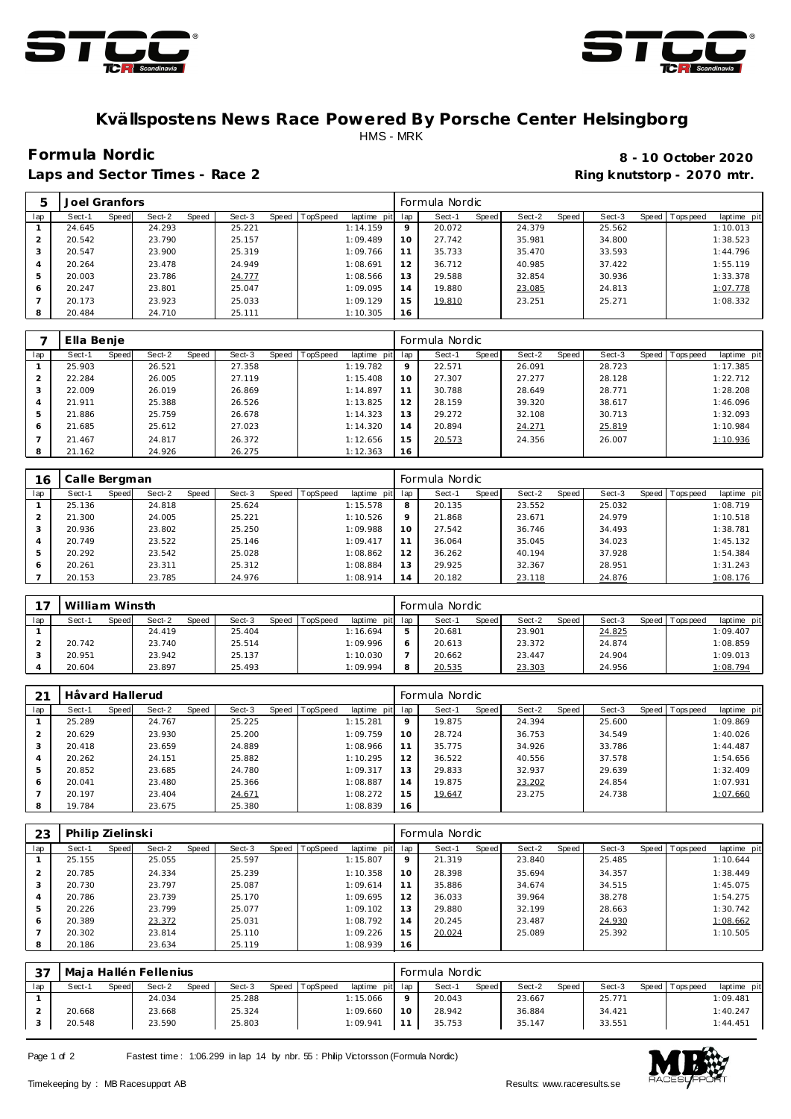



## **Kvällspostens News Race Powered By Porsche Center Helsingborg** HMS - MRK

Laps and Sector Times - Race 2 **Ring and Sector Times - Ring knutstorp** - 2070 mtr.

**Formula Nordic 8 - 10 October 2020**

|     | Joel Granfors |       |        |       |        |       |                 |             |         | Formula Nordic |       |        |       |        |                |             |
|-----|---------------|-------|--------|-------|--------|-------|-----------------|-------------|---------|----------------|-------|--------|-------|--------|----------------|-------------|
| lap | Sect-1        | Speed | Sect-2 | Speed | Sect-3 | Speed | <b>TopSpeed</b> | laptime pit | lap     | Sect-1         | Speed | Sect-2 | Speed | Sect-3 | Speed Topspeed | laptime pit |
|     | 24.645        |       | 24.293 |       | 25.221 |       |                 | 1:14.159    | $\circ$ | 20.072         |       | 24.379 |       | 25.562 |                | 1:10.013    |
|     | 20.542        |       | 23.790 |       | 25.157 |       |                 | 1:09.489    | 10      | 27.742         |       | 35.981 |       | 34.800 |                | 1:38.523    |
| 3   | 20.547        |       | 23.900 |       | 25.319 |       |                 | 1:09.766    |         | 35.733         |       | 35.470 |       | 33.593 |                | 1:44.796    |
|     | 20.264        |       | 23.478 |       | 24.949 |       |                 | 1:08.691    | 12      | 36.712         |       | 40.985 |       | 37.422 |                | 1:55.119    |
| 5   | 20.003        |       | 23.786 |       | 24.777 |       |                 | 1:08.566    | 13      | 29.588         |       | 32.854 |       | 30.936 |                | 1:33.378    |
| 6   | 20.247        |       | 23.801 |       | 25.047 |       |                 | 1:09.095    | 14      | 19.880         |       | 23.085 |       | 24.813 |                | 1:07.778    |
|     | 20.173        |       | 23.923 |       | 25.033 |       |                 | 1:09.129    | 15      | 19.810         |       | 23.251 |       | 25.271 |                | 1:08.332    |
| 8   | 20.484        |       | 24.710 |       | 25.111 |       |                 | 1:10.305    | 16      |                |       |        |       |        |                |             |

|     | Ella Benje |       |        |       |        |       |          |                 |         | Formula Nordic |       |        |       |        |                |             |
|-----|------------|-------|--------|-------|--------|-------|----------|-----------------|---------|----------------|-------|--------|-------|--------|----------------|-------------|
| lap | Sect-1     | Speed | Sect-2 | Speed | Sect-3 | Speed | TopSpeed | laptime<br>pitl | lap     | Sect-1         | Speed | Sect-2 | Speed | Sect-3 | Speed Topspeed | laptime pit |
|     | 25.903     |       | 26.521 |       | 27.358 |       |          | 1:19.782        | $\circ$ | 22.571         |       | 26.091 |       | 28.723 |                | 1:17.385    |
|     | 22.284     |       | 26.005 |       | 27.119 |       |          | 1:15.408        | 10      | 27.307         |       | 27.277 |       | 28.128 |                | 1:22.712    |
|     | 22.009     |       | 26.019 |       | 26.869 |       |          | 1:14.897        | 11      | 30.788         |       | 28.649 |       | 28.771 |                | 1:28.208    |
| 4   | 21.911     |       | 25.388 |       | 26.526 |       |          | 1:13.825        | 12      | 28.159         |       | 39.320 |       | 38.617 |                | 1:46.096    |
| .5  | 21.886     |       | 25.759 |       | 26.678 |       |          | 1:14.323        | 13      | 29.272         |       | 32.108 |       | 30.713 |                | 1:32.093    |
| 6   | 21.685     |       | 25.612 |       | 27.023 |       |          | 1:14.320        | 14      | 20.894         |       | 24.271 |       | 25.819 |                | 1:10.984    |
|     | 21.467     |       | 24.817 |       | 26.372 |       |          | 1:12.656        | 15      | 20.573         |       | 24.356 |       | 26.007 |                | 1:10.936    |
| 8   | 21.162     |       | 24.926 |       | 26.275 |       |          | 1:12.363        | 16      |                |       |        |       |        |                |             |

| 16  | Calle Bergman |       |        |       |        |       |          |                |         | Formula Nordic |       |        |       |        |       |           |             |
|-----|---------------|-------|--------|-------|--------|-------|----------|----------------|---------|----------------|-------|--------|-------|--------|-------|-----------|-------------|
| lap | Sect-1        | Speed | Sect-2 | Speed | Sect-3 | Speed | TopSpeed | laptime<br>pit | lap     | Sect-1         | Speed | Sect-2 | Speed | Sect-3 | Speed | Tops peed | laptime pit |
|     | 25.136        |       | 24.818 |       | 25.624 |       |          | 1:15.578       | 8       | 20.135         |       | 23.552 |       | 25.032 |       |           | 1:08.719    |
|     | 21.300        |       | 24.005 |       | 25.221 |       |          | 1:10.526       | $\circ$ | 21.868         |       | 23.671 |       | 24.979 |       |           | 1:10.518    |
|     | 20.936        |       | 23.802 |       | 25.250 |       |          | 1:09.988       | 10      | 27.542         |       | 36.746 |       | 34.493 |       |           | 1:38.781    |
| 4   | 20.749        |       | 23.522 |       | 25.146 |       |          | 1:09.417       |         | 36.064         |       | 35.045 |       | 34.023 |       |           | 1:45.132    |
| 5   | 20.292        |       | 23.542 |       | 25.028 |       |          | 1:08.862       | 12      | 36.262         |       | 40.194 |       | 37.928 |       |           | 1:54.384    |
| O   | 20.261        |       | 23.311 |       | 25.312 |       |          | 1:08.884       | 13      | 29.925         |       | 32.367 |       | 28.951 |       |           | 1:31.243    |
|     | 20.153        |       | 23.785 |       | 24.976 |       |          | 1:08.914       | 14      | 20.182         |       | 23.118 |       | 24.876 |       |           | 1:08.176    |

| 77  | William Winsth |       |        |       |        |       |          |                 | Formula Nordic |              |        |       |        |                 |             |
|-----|----------------|-------|--------|-------|--------|-------|----------|-----------------|----------------|--------------|--------|-------|--------|-----------------|-------------|
| lap | Sect-1         | Speed | Sect-2 | Speed | Sect-3 | Speed | TopSpeed | laptime pit lap | Sect-1         | <b>Speed</b> | Sect-2 | Speed | Sect-3 | Speed Tops peed | laptime pit |
|     |                |       | 24.419 |       | 25.404 |       |          | 1:16.694        | 20.681         |              | 23.901 |       | 24.825 |                 | 1:09.407    |
|     | 20.742         |       | 23.740 |       | 25.514 |       |          | 1:09.996        | 20.613         |              | 23.372 |       | 24.874 |                 | 1:08.859    |
|     | 20.951         |       | 23.942 |       | 25.137 |       |          | 1:10.030        | 20.662         |              | 23.447 |       | 24.904 |                 | 1:09.013    |
|     | 20.604         |       | 23.897 |       | 25.493 |       |          | 1:09.994        | 20.535         |              | 23.303 |       | 24.956 |                 | 1:08.794    |

| 21  | Håvard Hallerud |       |        |       |        |       |          |                |         | Formula Nordic |       |        |       |        |                |             |
|-----|-----------------|-------|--------|-------|--------|-------|----------|----------------|---------|----------------|-------|--------|-------|--------|----------------|-------------|
| lap | Sect-1          | Speed | Sect-2 | Speed | Sect-3 | Speed | TopSpeed | laptime<br>pit | lap     | Sect-1         | Speed | Sect-2 | Speed | Sect-3 | Speed Topspeed | laptime pit |
|     | 25.289          |       | 24.767 |       | 25.225 |       |          | 1:15.281       | $\circ$ | 19.875         |       | 24.394 |       | 25.600 |                | 1:09.869    |
|     | 20.629          |       | 23.930 |       | 25.200 |       |          | 1:09.759       | 10      | 28.724         |       | 36.753 |       | 34.549 |                | 1:40.026    |
| 3   | 20.418          |       | 23.659 |       | 24.889 |       |          | 1:08.966       | 11      | 35.775         |       | 34.926 |       | 33.786 |                | 1:44.487    |
| 4   | 20.262          |       | 24.151 |       | 25.882 |       |          | 1:10.295       | 12      | 36.522         |       | 40.556 |       | 37.578 |                | 1:54.656    |
| 5   | 20.852          |       | 23.685 |       | 24.780 |       |          | 1:09.317       | 13      | 29.833         |       | 32.937 |       | 29.639 |                | 1:32.409    |
| 6   | 20.041          |       | 23.480 |       | 25.366 |       |          | 1:08.887       | 14      | 19.875         |       | 23.202 |       | 24.854 |                | 1:07.931    |
|     | 20.197          |       | 23.404 |       | 24.671 |       |          | 1:08.272       | 15      | 19.647         |       | 23.275 |       | 24.738 |                | 1:07.660    |
| 8   | 19.784          |       | 23.675 |       | 25.380 |       |          | 1:08.839       | 16      |                |       |        |       |        |                |             |

| 23      | Philip Zielinski |       |        |       |        |       |                 |             |         | Formula Nordic |       |        |       |        |       |          |             |
|---------|------------------|-------|--------|-------|--------|-------|-----------------|-------------|---------|----------------|-------|--------|-------|--------|-------|----------|-------------|
| lap     | Sect-1           | Speed | Sect-2 | Speed | Sect-3 | Speed | <b>TopSpeed</b> | laptime pit | lap     | Sect-1         | Speed | Sect-2 | Speed | Sect-3 | Speed | Topspeed | laptime pit |
|         | 25.155           |       | 25.055 |       | 25.597 |       |                 | 1:15.807    | $\circ$ | 21.319         |       | 23.840 |       | 25.485 |       |          | 1:10.644    |
|         | 20.785           |       | 24.334 |       | 25.239 |       |                 | 1:10.358    | 10      | 28.398         |       | 35.694 |       | 34.357 |       |          | 1:38.449    |
| $\cdot$ | 20.730           |       | 23.797 |       | 25.087 |       |                 | 1:09.614    | 11      | 35.886         |       | 34.674 |       | 34.515 |       |          | 1:45.075    |
|         | 20.786           |       | 23.739 |       | 25.170 |       |                 | 1:09.695    | 12      | 36.033         |       | 39.964 |       | 38.278 |       |          | 1:54.275    |
|         | 20.226           |       | 23.799 |       | 25.077 |       |                 | 1:09.102    | 13      | 29.880         |       | 32.199 |       | 28.663 |       |          | 1:30.742    |
| 6       | 20.389           |       | 23.372 |       | 25.031 |       |                 | 1:08.792    | 14      | 20.245         |       | 23.487 |       | 24.930 |       |          | 1:08.662    |
|         | 20.302           |       | 23.814 |       | 25.110 |       |                 | 1:09.226    | 15      | 20.024         |       | 25.089 |       | 25.392 |       |          | 1:10.505    |
| 8       | 20.186           |       | 23.634 |       | 25.119 |       |                 | 1:08.939    | 16      |                |       |        |       |        |       |          |             |

| 37  |        |       | Maja Hallén Fellenius |       |        |       |          |             |         | Formula Nordic |       |        |       |        |       |            |             |
|-----|--------|-------|-----------------------|-------|--------|-------|----------|-------------|---------|----------------|-------|--------|-------|--------|-------|------------|-------------|
| lap | Sect-1 | Speed | Sect-2                | Speed | Sect-3 | Speed | TopSpeed | laptime pit | lap     | Sect-1         | Speed | Sect-2 | Speed | Sect-3 | Speed | Tops pee d | laptime pit |
|     |        |       | 24.034                |       | 25.288 |       |          | 1:15.066    | $\circ$ | 20.043         |       | 23.667 |       | 25.771 |       |            | 1:09.481    |
|     | 20.668 |       | 23.668                |       | 25.324 |       |          | 1:09.660    | 10      | 28.942         |       | 36.884 |       | 34.421 |       |            | 1:40.247    |
|     | 20.548 |       | 23.590                |       | 25.803 |       |          | 1:09.941    | 11      | 35.753         |       | 35.147 |       | 33.551 |       |            | 1:44.451    |

Page 1 of 2 Fastest time : 1:06.299 in lap 14 by nbr. 55 : Philip Victorsson (Formula Nordic)